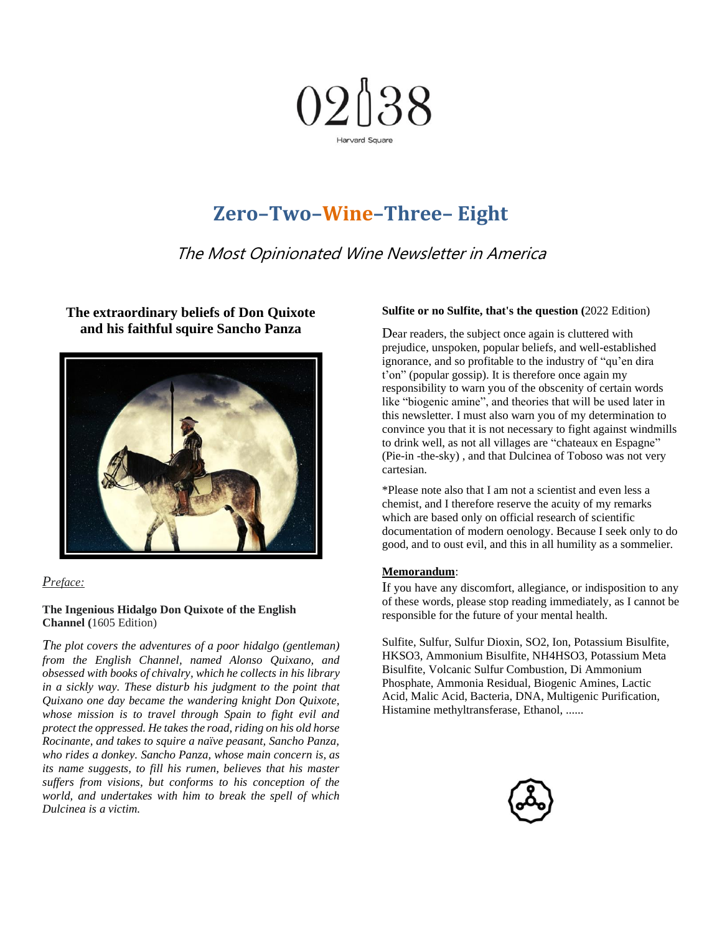

# **Zero–Two–Wine–Three– Eight**

The Most Opinionated Wine Newsletter in America

# **The extraordinary beliefs of Don Quixote and his faithful squire Sancho Panza**



# *Preface:*

## **The Ingenious Hidalgo Don Quixote of the English Channel (**1605 Edition)

*The plot covers the adventures of a poor [hidalgo](https://fr.wikipedia.org/wiki/Hidalgo_(noblesse)) (gentleman) from the [English Channel,](https://fr.wikipedia.org/wiki/La_Manche_(province_historique_d%27Espagne)) named [Alonso Quixano,](https://fr.wikipedia.org/wiki/Alonso_Quichano) and obsessed wit[h books of chivalry,](https://fr.wikipedia.org/wiki/Roman_de_chevalerie) which he collects i[n his library](https://fr.wikipedia.org/wiki/Biblioth%C3%A8que_de_Don_Quichotte) in a sickly way. These disturb his judgment to the point that Quixano one day became the [wandering knight](https://fr.wikipedia.org/wiki/Chevalier_errant) Don Quixote, whose mission is to travel through [Spain](https://fr.wikipedia.org/wiki/Espagne) to fight evil and protect the oppressed. He takes the road, riding on his old horse Rocinante, and takes to squire a naïve peasant, [Sancho Panza,](https://fr.wikipedia.org/wiki/Sancho_Panza) who rides a donkey. Sancho Panza, whose main concern is, as its name suggests, to fill his rumen, believes that his master suffers from visions, but conforms to his conception of the world, and undertakes with him to break the spell of which Dulcinea is a victim.*

#### **Sulfite or no Sulfite, that's the question (**2022 Edition)

Dear readers, the subject once again is cluttered with prejudice, unspoken, popular beliefs, and well-established ignorance, and so profitable to the industry of "qu'en dira t'on" (popular gossip). It is therefore once again my responsibility to warn you of the obscenity of certain words like "biogenic amine", and theories that will be used later in this newsletter. I must also warn you of my determination to convince you that it is not necessary to fight against windmills to drink well, as not all villages are "chateaux en Espagne" (Pie-in -the-sky) , and that Dulcinea of Toboso was not very cartesian.

\*Please note also that I am not a scientist and even less a chemist, and I therefore reserve the acuity of my remarks which are based only on official research of scientific documentation of modern oenology. Because I seek only to do good, and to oust evil, and this in all humility as a sommelier.

## **Memorandum**:

If you have any discomfort, allegiance, or indisposition to any of these words, please stop reading immediately, as I cannot be responsible for the future of your mental health.

Sulfite, Sulfur, Sulfur Dioxin, SO2, Ion, Potassium Bisulfite, HKSO3, Ammonium Bisulfite, NH4HSO3, Potassium Meta Bisulfite, Volcanic Sulfur Combustion, Di Ammonium Phosphate, Ammonia Residual, Biogenic Amines, Lactic Acid, Malic Acid, Bacteria, DNA, Multigenic Purification, Histamine methyltransferase, Ethanol, ......

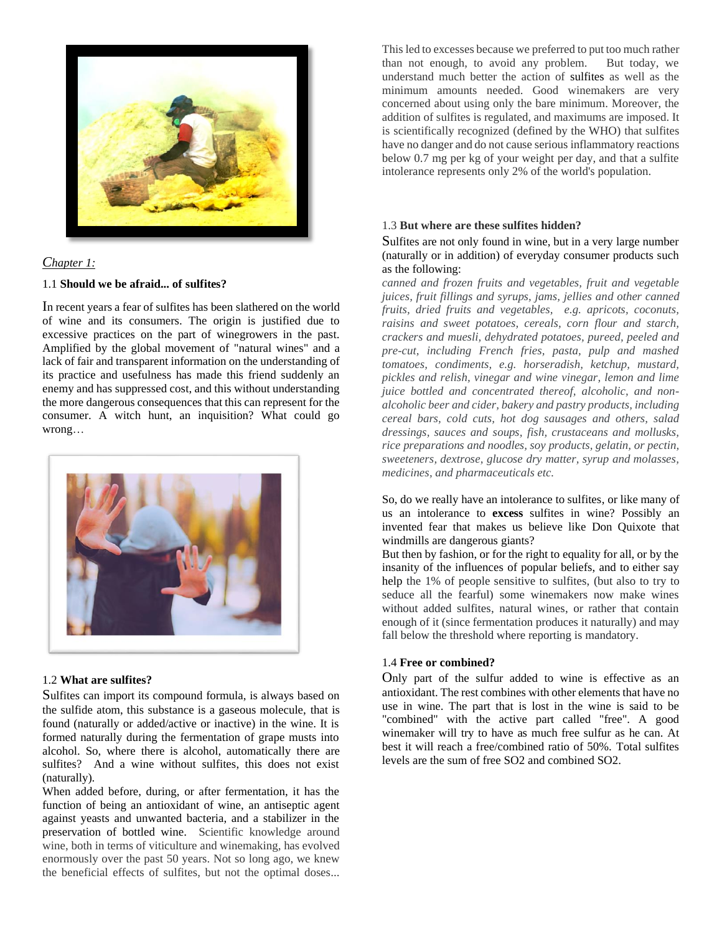

## *Chapter 1:*

#### 1.1 **Should we be afraid... of sulfites?**

In recent years a fear of sulfites has been slathered on the world of wine and its consumers. The origin is justified due to excessive practices on the part of winegrowers in the past. Amplified by the global movement of "natural wines" and a lack of fair and transparent information on the understanding of its practice and usefulness has made this friend suddenly an enemy and has suppressed cost, and this without understanding the more dangerous consequences that this can represent for the consumer. A witch hunt, an inquisition? What could go wrong…



## 1.2 **What are sulfites?**

Sulfites can import its compound formula, is always based on the sulfide atom, this substance is a gaseous molecule, that is found (naturally or added/active or inactive) in the wine. It is formed naturally during the fermentation of grape musts into alcohol. So, where there is alcohol, automatically there are sulfites? And a wine without sulfites, this does not exist (naturally).

When added before, during, or after fermentation, it has the function of being an antioxidant of wine, an antiseptic agent against yeasts and unwanted bacteria, and a stabilizer in the preservation of bottled wine. Scientific knowledge around wine, both in terms of viticulture and winemaking, has evolved enormously over the past 50 years. Not so long ago, we knew the beneficial effects of sulfites, but not the optimal doses...

This led to excesses because we preferred to put too much rather than not enough, to avoid any problem. But today, we understand much better the action of sulfites as well as the minimum amounts needed. Good winemakers are very concerned about using only the bare minimum. Moreover, the addition of sulfites is regulated, and maximums are imposed. It is scientifically recognized (defined by the WHO) that sulfites have no danger and do not cause serious inflammatory reactions below 0.7 mg per kg of your weight per day, and that a sulfite intolerance represents only 2% of the world's population.

## 1.3 **But where are these sulfites hidden?**

Sulfites are not only found in wine, but in a very large number (naturally or in addition) of everyday consumer products such as the following:

*canned and frozen fruits and vegetables, fruit and vegetable juices, fruit fillings and syrups, jams, jellies and other canned fruits, dried fruits and vegetables, e.g. apricots, coconuts, raisins and sweet potatoes, cereals, corn flour and starch, crackers and muesli, dehydrated potatoes, pureed, peeled and pre-cut, including French fries, pasta, pulp and mashed tomatoes, condiments, e.g. horseradish, ketchup, mustard, pickles and relish, vinegar and wine vinegar, lemon and lime juice bottled and concentrated thereof, alcoholic, and nonalcoholic beer and cider, bakery and pastry products, including cereal bars, cold cuts, hot dog sausages and others, salad dressings, sauces and soups, fish, crustaceans and mollusks, rice preparations and noodles, soy products, gelatin, or pectin, sweeteners, dextrose, glucose dry matter, syrup and molasses, medicines, and pharmaceuticals etc.*

So, do we really have an intolerance to sulfites, or like many of us an intolerance to **excess** sulfites in wine? Possibly an invented fear that makes us believe like Don Quixote that windmills are dangerous giants?

But then by fashion, or for the right to equality for all, or by the insanity of the influences of popular beliefs, and to either say help the 1% of people sensitive to sulfites, (but also to try to seduce all the fearful) some winemakers now make wines without added sulfites, natural wines, or rather that contain enough of it (since fermentation produces it naturally) and may fall below the threshold where reporting is mandatory.

## 1.4 **Free or combined?**

Only part of the sulfur added to wine is effective as an antioxidant. The rest combines with other elements that have no use in wine. The part that is lost in the wine is said to be "combined" with the active part called "free". A good winemaker will try to have as much free sulfur as he can. At best it will reach a free/combined ratio of 50%. Total sulfites levels are the sum of free SO2 and combined SO2.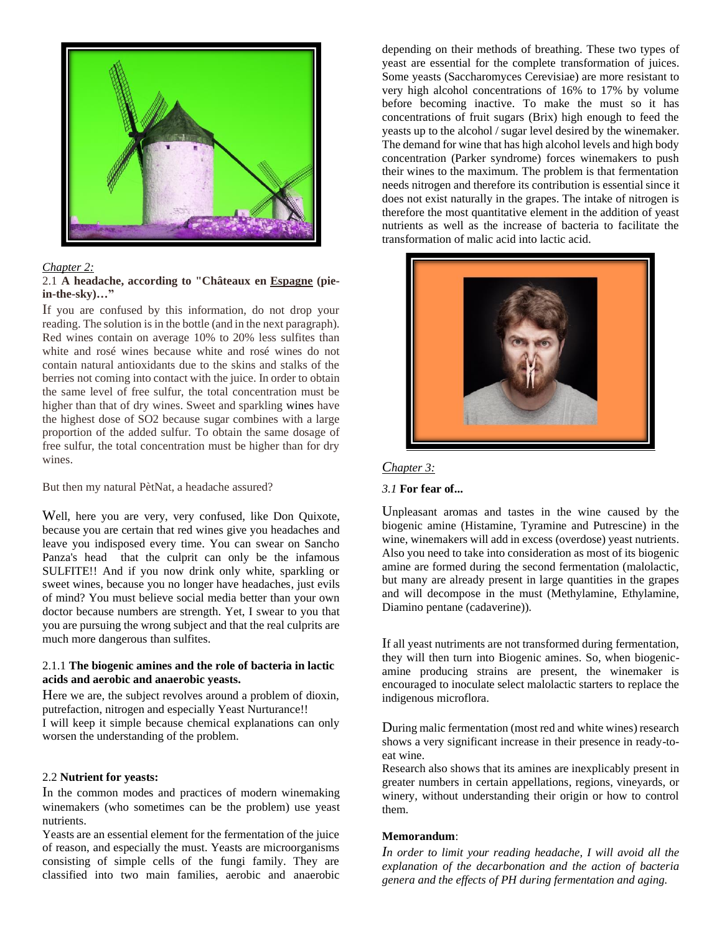

#### *Chapter 2:*

2.1 **A headache, according to "Châteaux en Espagne (piein-the-sky)…"** 

If you are confused by this information, do not drop your reading. The solution is in the bottle (and in the next paragraph). Red wines contain on average 10% to 20% less sulfites than white and rosé wines because white and rosé wines do not contain natural antioxidants due to the skins and stalks of the berries not coming into contact with the juice. In order to obtain the same level of free sulfur, the total concentration must be higher than that of dry wines. Sweet and sparkling wines have the highest dose of SO2 because sugar combines with a large proportion of the added sulfur. To obtain the same dosage of free sulfur, the total concentration must be higher than for dry wines.

But then my natural PètNat, a headache assured?

Well, here you are very, very confused, like Don Quixote, because you are certain that red wines give you headaches and leave you indisposed every time. You can swear on Sancho Panza's head that the culprit can only be the infamous SULFITE!! And if you now drink only white, sparkling or sweet wines, because you no longer have headaches, just evils of mind? You must believe social media better than your own doctor because numbers are strength. Yet, I swear to you that you are pursuing the wrong subject and that the real culprits are much more dangerous than sulfites.

#### 2.1.1 **The biogenic amines and the role of bacteria in lactic acids and aerobic and anaerobic yeasts.**

Here we are, the subject revolves around a problem of dioxin, putrefaction, nitrogen and especially Yeast Nurturance!! I will keep it simple because chemical explanations can only worsen the understanding of the problem.

#### 2.2 **Nutrient for yeasts:**

In the common modes and practices of modern winemaking winemakers (who sometimes can be the problem) use yeast nutrients.

Yeasts are an essential element for the fermentation of the juice of reason, and especially the must. Yeasts are microorganisms consisting of simple cells of the fungi family. They are classified into two main families, aerobic and anaerobic depending on their methods of breathing. These two types of yeast are essential for the complete transformation of juices. Some yeasts (Saccharomyces Cerevisiae) are more resistant to very high alcohol concentrations of 16% to 17% by volume before becoming inactive. To make the must so it has concentrations of fruit sugars (Brix) high enough to feed the yeasts up to the alcohol / sugar level desired by the winemaker. The demand for wine that has high alcohol levels and high body concentration (Parker syndrome) forces winemakers to push their wines to the maximum. The problem is that fermentation needs nitrogen and therefore its contribution is essential since it does not exist naturally in the grapes. The intake of nitrogen is therefore the most quantitative element in the addition of yeast nutrients as well as the increase of bacteria to facilitate the transformation of malic acid into lactic acid.



#### *Chapter 3:*

#### *3.1* **For fear of...**

Unpleasant aromas and tastes in the wine caused by the biogenic amine (Histamine, Tyramine and Putrescine) in the wine, winemakers will add in excess (overdose) yeast nutrients. Also you need to take into consideration as most of its biogenic amine are formed during the second fermentation (malolactic, but many are already present in large quantities in the grapes and will decompose in the must (Methylamine, Ethylamine, Diamino pentane (cadaverine)).

If all yeast nutriments are not transformed during fermentation, they will then turn into Biogenic amines. So, when biogenicamine producing strains are present, the winemaker is encouraged to inoculate select malolactic starters to replace the indigenous microflora.

During malic fermentation (most red and white wines) research shows a very significant increase in their presence in ready-toeat wine.

Research also shows that its amines are inexplicably present in greater numbers in certain appellations, regions, vineyards, or winery, without understanding their origin or how to control them.

## **Memorandum**:

*In order to limit your reading headache, I will avoid all the explanation of the decarbonation and the action of bacteria genera and the effects of PH during fermentation and aging.*